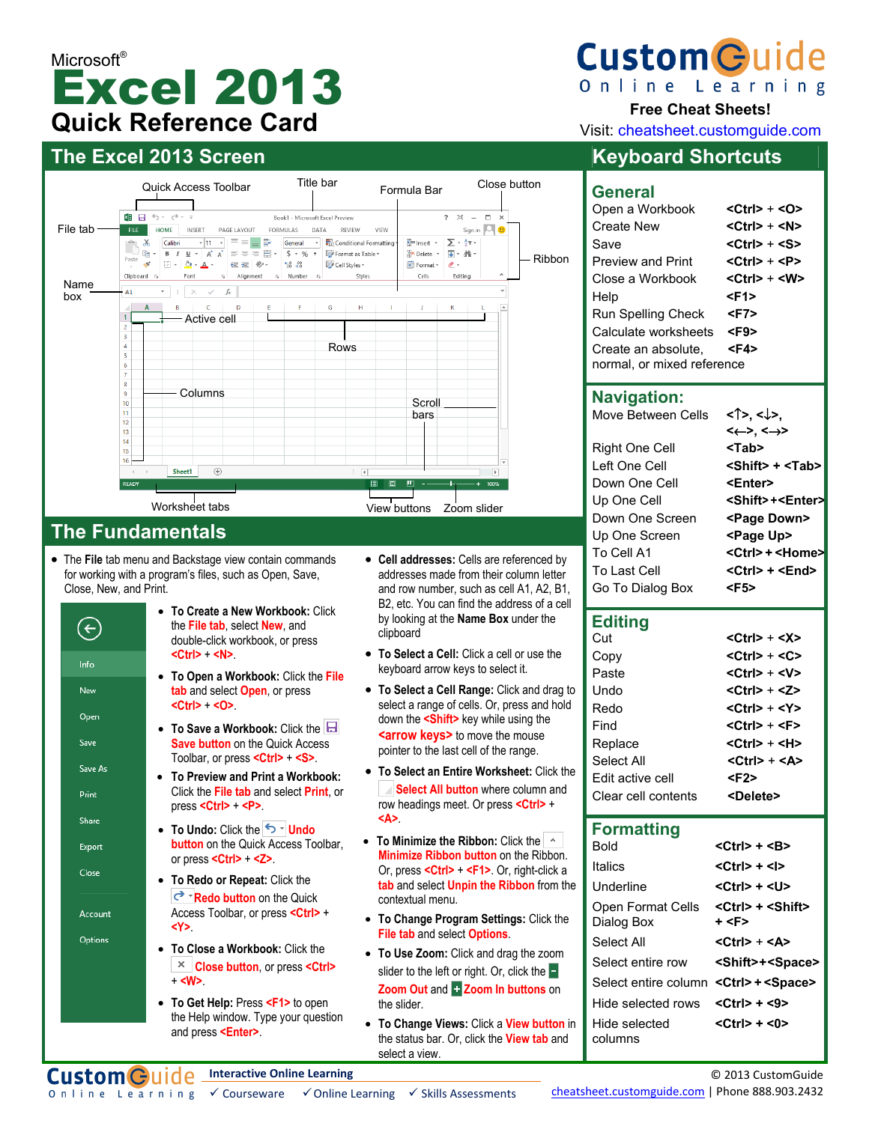# Microsoft<sup>®</sup> Excel 2013 **Quick Reference Card**

## **The Excel 2013 Screen Keyboard Shortcuts**



## **The Fundamentals**

• The **File** tab menu and Backstage view contain commands for working with a program's files, such as Open, Save, Close, New, and Print.



• **To Get Help:** Press **<F1>** to open the Help window. Type your question and press **<Enter>**.

- **Cell addresses:** Cells are referenced by addresses made from their column letter and row number, such as cell A1, A2, B1, B2, etc. You can find the address of a cell by looking at the **Name Box** under the clipboard
- **To Select a Cell:** Click a cell or use the keyboard arrow keys to select it.
- **To Select a Cell Range:** Click and drag to select a range of cells. Or, press and hold down the **<Shift>** key while using the **<arrow keys>** to move the mouse pointer to the last cell of the range.
- **To Select an Entire Worksheet:** Click the **Select All button** where column and row headings meet. Or press **<Ctrl>** + **<A>**.
- **To Minimize the Ribbon:** Click the **Minimize Ribbon button** on the Ribbon. Or, press **<Ctrl>** + **<F1>**. Or, right-click a **tab** and select **Unpin the Ribbon** from the contextual menu.
- **To Change Program Settings:** Click the **File tab** and select **Options**.
- **To Use Zoom:** Click and drag the zoom slider to the left or right. Or, click the  $\blacksquare$ **Zoom Out** and **Zoom In buttons** on the slider.
- **To Change Views:** Click a **View button** in the status bar. Or, click the **View tab** and select a view.



Online Learning

#### **Free Cheat Sheets!**

Visit: cheatsheet.customguide.com

#### **General**  Open a Workbook **<Ctrl> + <O>**

| Create New                 | <ctrl> + <n></n></ctrl> |
|----------------------------|-------------------------|
| Save                       | <ctrl> + <s></s></ctrl> |
| <b>Preview and Print</b>   | <ctrl> + <p></p></ctrl> |
| Close a Workbook           | <ctrl> + <w></w></ctrl> |
| Help                       | <f1></f1>               |
| <b>Run Spelling Check</b>  | <f7></f7>               |
| Calculate worksheets       | <f9></f9>               |
| Create an absolute,        | <f4></f4>               |
| normal, or mixed reference |                         |

## **Navigation:**

| Move Between Cells | <1>. <↓>.                       |
|--------------------|---------------------------------|
|                    | $\leftarrow$ >, $\leftarrow$ >  |
| Right One Cell     | <tab></tab>                     |
| Left One Cell      | $\le$ Shift> + $\le$ Tab>       |
| Down One Cell      | <enter></enter>                 |
| Up One Cell        | <shift>+<enter></enter></shift> |
| Down One Screen    | <page down=""></page>           |
| Up One Screen      | <page up=""></page>             |
| To Cell A1         | <ctrl> + <home></home></ctrl>   |
| To Last Cell       | <ctrl> + <end></end></ctrl>     |
| Go To Dialog Box   | <f5></f5>                       |

#### **Editing**

| Cut                 | $<$ Ctrl $>$ + $<$ X $>$  |
|---------------------|---------------------------|
| Copy                | $<$ Ctrl $>$ + $<$ C $>$  |
| Paste               | <ctrl> + <v></v></ctrl>   |
| Undo                | <ctrl> + &lt;7&gt;</ctrl> |
| Redo                | <ctrl> + <y></y></ctrl>   |
| Find                | <ctrl> + <f></f></ctrl>   |
| Replace             | <ctrl> + <h></h></ctrl>   |
| Select All          | <ctrl> + <a></a></ctrl>   |
| Edit active cell    | <f2></f2>                 |
| Clear cell contents | <delete></delete>         |

### **Formatting**

| Bold                                                    | <ctrl> + <b></b></ctrl>                       |
|---------------------------------------------------------|-----------------------------------------------|
| Italics                                                 | <ctrl> + <l></l></ctrl>                       |
| Underline                                               | <ctrl> + <u></u></ctrl>                       |
| Open Format Cells<br>Dialog Box                         | <ctrl> + <shift><br/>+ <f></f></shift></ctrl> |
| Select All                                              | <ctrl> + <a></a></ctrl>                       |
| Select entire row                                       | <shift>+<space></space></shift>               |
| Select entire column < Ctrl> + < Space>                 |                                               |
| Hide selected rows $\langle Ctr  > + \langle 9 \rangle$ |                                               |
| Hide selected<br>columns                                | <ctrl> + &lt;0&gt;</ctrl>                     |

**Interactive Online Learning Custom Guide**